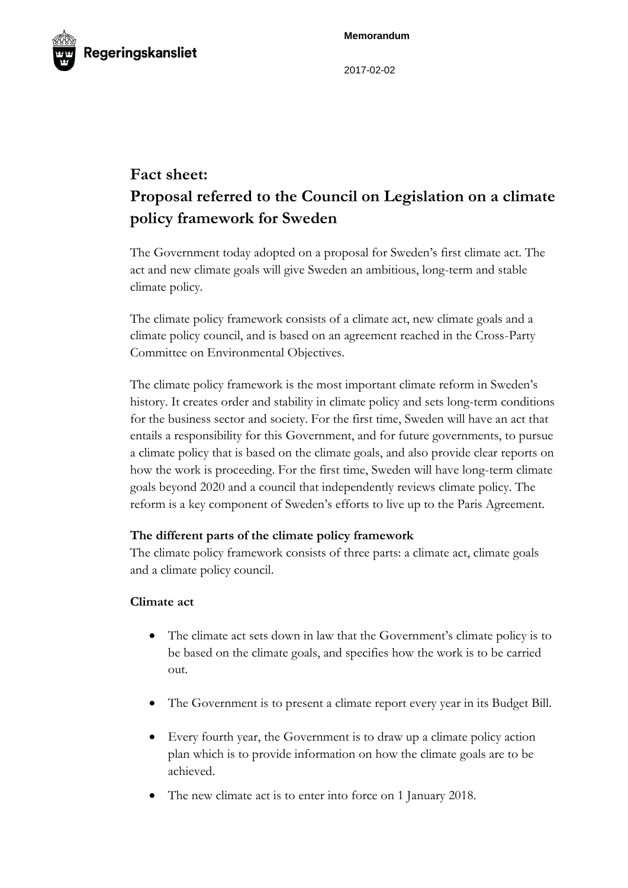**Memorandum**



2017-02-02

# **Fact sheet: Proposal referred to the Council on Legislation on a climate policy framework for Sweden**

The Government today adopted on a proposal for Sweden's first climate act. The act and new climate goals will give Sweden an ambitious, long-term and stable climate policy.

The climate policy framework consists of a climate act, new climate goals and a climate policy council, and is based on an agreement reached in the Cross-Party Committee on Environmental Objectives.

The climate policy framework is the most important climate reform in Sweden's history. It creates order and stability in climate policy and sets long-term conditions for the business sector and society. For the first time, Sweden will have an act that entails a responsibility for this Government, and for future governments, to pursue a climate policy that is based on the climate goals, and also provide clear reports on how the work is proceeding. For the first time, Sweden will have long-term climate goals beyond 2020 and a council that independently reviews climate policy. The reform is a key component of Sweden's efforts to live up to the Paris Agreement.

## **The different parts of the climate policy framework**

The climate policy framework consists of three parts: a climate act, climate goals and a climate policy council.

## **Climate act**

- The climate act sets down in law that the Government's climate policy is to be based on the climate goals, and specifies how the work is to be carried out.
- The Government is to present a climate report every year in its Budget Bill.
- Every fourth year, the Government is to draw up a climate policy action plan which is to provide information on how the climate goals are to be achieved.
- The new climate act is to enter into force on 1 January 2018.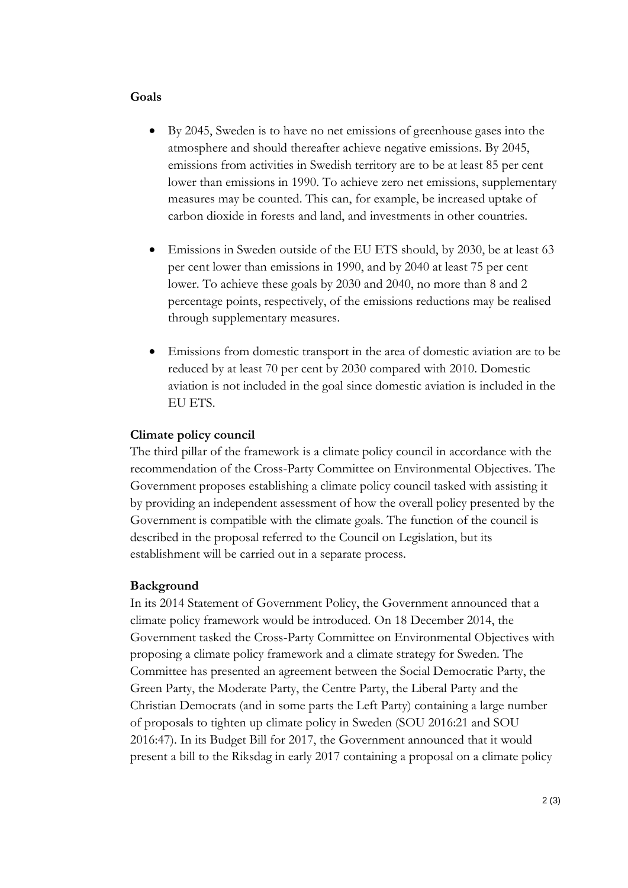#### **Goals**

- By 2045, Sweden is to have no net emissions of greenhouse gases into the atmosphere and should thereafter achieve negative emissions. By 2045, emissions from activities in Swedish territory are to be at least 85 per cent lower than emissions in 1990. To achieve zero net emissions, supplementary measures may be counted. This can, for example, be increased uptake of carbon dioxide in forests and land, and investments in other countries.
- Emissions in Sweden outside of the EU ETS should, by 2030, be at least 63 per cent lower than emissions in 1990, and by 2040 at least 75 per cent lower. To achieve these goals by 2030 and 2040, no more than 8 and 2 percentage points, respectively, of the emissions reductions may be realised through supplementary measures.
- Emissions from domestic transport in the area of domestic aviation are to be reduced by at least 70 per cent by 2030 compared with 2010. Domestic aviation is not included in the goal since domestic aviation is included in the EU ETS.

#### **Climate policy council**

The third pillar of the framework is a climate policy council in accordance with the recommendation of the Cross-Party Committee on Environmental Objectives. The Government proposes establishing a climate policy council tasked with assisting it by providing an independent assessment of how the overall policy presented by the Government is compatible with the climate goals. The function of the council is described in the proposal referred to the Council on Legislation, but its establishment will be carried out in a separate process.

#### **Background**

In its 2014 Statement of Government Policy, the Government announced that a climate policy framework would be introduced. On 18 December 2014, the Government tasked the Cross-Party Committee on Environmental Objectives with proposing a climate policy framework and a climate strategy for Sweden. The Committee has presented an agreement between the Social Democratic Party, the Green Party, the Moderate Party, the Centre Party, the Liberal Party and the Christian Democrats (and in some parts the Left Party) containing a large number of proposals to tighten up climate policy in Sweden (SOU 2016:21 and SOU 2016:47). In its Budget Bill for 2017, the Government announced that it would present a bill to the Riksdag in early 2017 containing a proposal on a climate policy